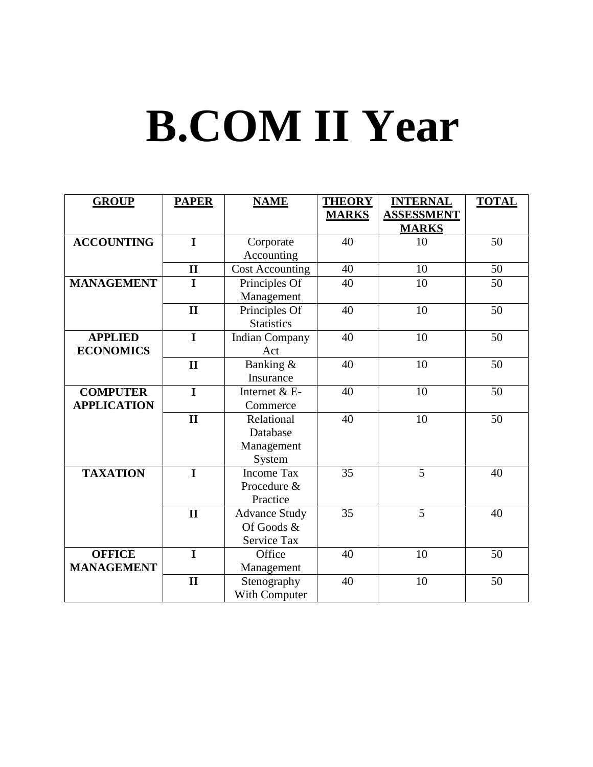## **B.COM II Year**

| <b>GROUP</b>       | <b>PAPER</b> | <b>NAME</b>            | <b>THEORY</b> | <b>INTERNAL</b>   | <b>TOTAL</b> |
|--------------------|--------------|------------------------|---------------|-------------------|--------------|
|                    |              |                        | <b>MARKS</b>  | <b>ASSESSMENT</b> |              |
|                    |              |                        |               | <b>MARKS</b>      |              |
| <b>ACCOUNTING</b>  | $\mathbf I$  | Corporate              | 40            | 10                | 50           |
|                    |              | Accounting             |               |                   |              |
|                    | $\mathbf{I}$ | <b>Cost Accounting</b> | 40            | 10                | 50           |
| <b>MANAGEMENT</b>  | $\mathbf I$  | Principles Of          | 40            | 10                | 50           |
|                    |              | Management             |               |                   |              |
|                    | $\mathbf{I}$ | Principles Of          | 40            | 10                | 50           |
|                    |              | <b>Statistics</b>      |               |                   |              |
| <b>APPLIED</b>     | $\mathbf I$  | <b>Indian Company</b>  | 40            | 10                | 50           |
| <b>ECONOMICS</b>   |              | Act                    |               |                   |              |
|                    | $\mathbf{I}$ | Banking &              | 40            | 10                | 50           |
|                    |              | Insurance              |               |                   |              |
| <b>COMPUTER</b>    | $\mathbf I$  | Internet & E-          | 40            | 10                | 50           |
| <b>APPLICATION</b> |              | Commerce               |               |                   |              |
|                    | $\mathbf{I}$ | Relational             | 40            | 10                | 50           |
|                    |              | Database               |               |                   |              |
|                    |              | Management             |               |                   |              |
|                    |              | System                 |               |                   |              |
| <b>TAXATION</b>    | $\mathbf I$  | <b>Income Tax</b>      | 35            | 5                 | 40           |
|                    |              | Procedure &            |               |                   |              |
|                    |              | Practice               |               |                   |              |
|                    | $\mathbf{I}$ | <b>Advance Study</b>   | 35            | 5                 | 40           |
|                    |              | Of Goods &             |               |                   |              |
|                    |              | Service Tax            |               |                   |              |
| <b>OFFICE</b>      | $\mathbf I$  | Office                 | 40            | 10                | 50           |
| <b>MANAGEMENT</b>  |              | Management             |               |                   |              |
|                    | $\mathbf{I}$ | Stenography            | 40            | 10                | 50           |
|                    |              | <b>With Computer</b>   |               |                   |              |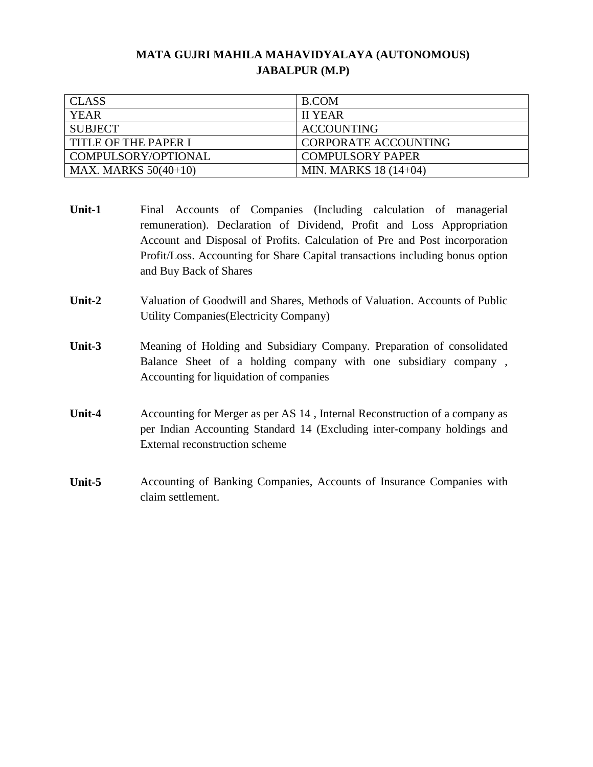| <b>CLASS</b>           | B.COM                       |
|------------------------|-----------------------------|
| YEAR                   | <b>II YEAR</b>              |
| <b>SUBJECT</b>         | <b>ACCOUNTING</b>           |
| TITLE OF THE PAPER I   | <b>CORPORATE ACCOUNTING</b> |
| COMPULSORY/OPTIONAL    | <b>COMPULSORY PAPER</b>     |
| MAX. MARKS $50(40+10)$ | MIN. MARKS 18 (14+04)       |

- **Unit-1** Final Accounts of Companies (Including calculation of managerial remuneration). Declaration of Dividend, Profit and Loss Appropriation Account and Disposal of Profits. Calculation of Pre and Post incorporation Profit/Loss. Accounting for Share Capital transactions including bonus option and Buy Back of Shares
- **Unit-2** Valuation of Goodwill and Shares, Methods of Valuation. Accounts of Public Utility Companies(Electricity Company)
- **Unit-3** Meaning of Holding and Subsidiary Company. Preparation of consolidated Balance Sheet of a holding company with one subsidiary company , Accounting for liquidation of companies
- **Unit-4** Accounting for Merger as per AS 14 , Internal Reconstruction of a company as per Indian Accounting Standard 14 (Excluding inter-company holdings and External reconstruction scheme
- **Unit-5** Accounting of Banking Companies, Accounts of Insurance Companies with claim settlement.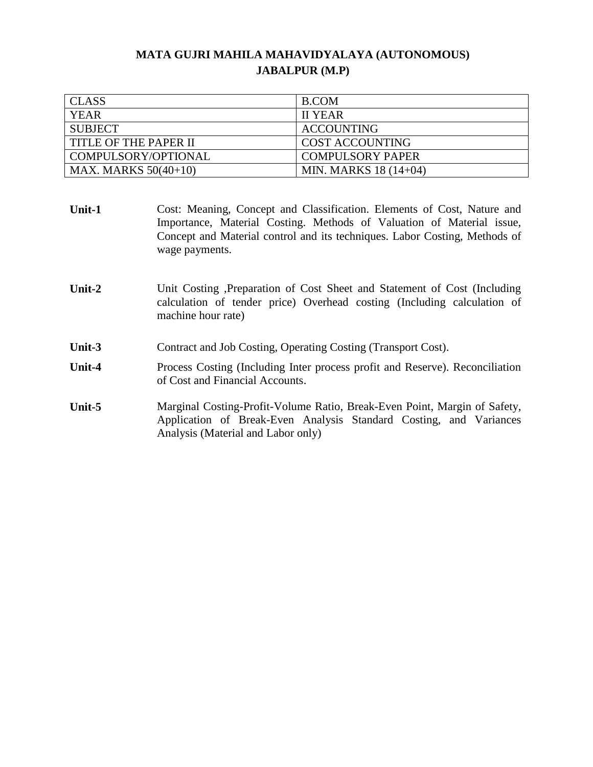| <b>CLASS</b>           | B.COM                   |
|------------------------|-------------------------|
| <b>YEAR</b>            | <b>II YEAR</b>          |
| <b>SUBJECT</b>         | <b>ACCOUNTING</b>       |
| TITLE OF THE PAPER II  | <b>COST ACCOUNTING</b>  |
| COMPULSORY/OPTIONAL    | <b>COMPULSORY PAPER</b> |
| MAX. MARKS $50(40+10)$ | MIN. MARKS 18 (14+04)   |

- **Unit-1** Cost: Meaning, Concept and Classification. Elements of Cost, Nature and Importance, Material Costing. Methods of Valuation of Material issue, Concept and Material control and its techniques. Labor Costing, Methods of wage payments.
- **Unit-2** Unit Costing ,Preparation of Cost Sheet and Statement of Cost (Including calculation of tender price) Overhead costing (Including calculation of machine hour rate)
- Unit-3 Contract and Job Costing, Operating Costing (Transport Cost).
- **Unit-4** Process Costing (Including Inter process profit and Reserve). Reconciliation of Cost and Financial Accounts.
- **Unit-5** Marginal Costing-Profit-Volume Ratio, Break-Even Point, Margin of Safety, Application of Break-Even Analysis Standard Costing, and Variances Analysis (Material and Labor only)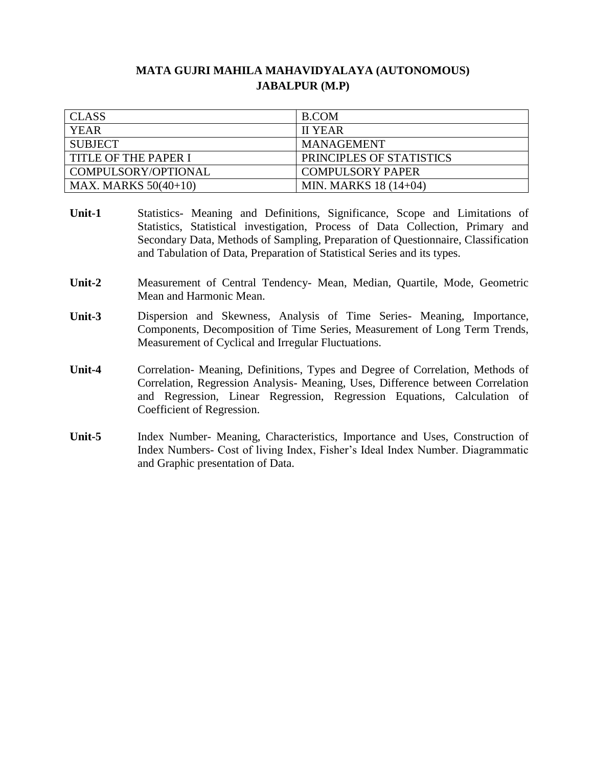| <b>CLASS</b>           | B.COM                    |
|------------------------|--------------------------|
| <b>YEAR</b>            | <b>II YEAR</b>           |
| <b>SUBJECT</b>         | <b>MANAGEMENT</b>        |
| TITLE OF THE PAPER I   | PRINCIPLES OF STATISTICS |
| COMPULSORY/OPTIONAL    | <b>COMPULSORY PAPER</b>  |
| MAX. MARKS $50(40+10)$ | MIN. MARKS 18 (14+04)    |

- **Unit-1** Statistics- Meaning and Definitions, Significance, Scope and Limitations of Statistics, Statistical investigation, Process of Data Collection, Primary and Secondary Data, Methods of Sampling, Preparation of Questionnaire, Classification and Tabulation of Data, Preparation of Statistical Series and its types.
- **Unit-2** Measurement of Central Tendency- Mean, Median, Quartile, Mode, Geometric Mean and Harmonic Mean.
- **Unit-3** Dispersion and Skewness, Analysis of Time Series- Meaning, Importance, Components, Decomposition of Time Series, Measurement of Long Term Trends, Measurement of Cyclical and Irregular Fluctuations.
- **Unit-4** Correlation- Meaning, Definitions, Types and Degree of Correlation, Methods of Correlation, Regression Analysis- Meaning, Uses, Difference between Correlation and Regression, Linear Regression, Regression Equations, Calculation of Coefficient of Regression.
- Unit-5 Index Number- Meaning, Characteristics, Importance and Uses, Construction of Index Numbers- Cost of living Index, Fisher's Ideal Index Number. Diagrammatic and Graphic presentation of Data.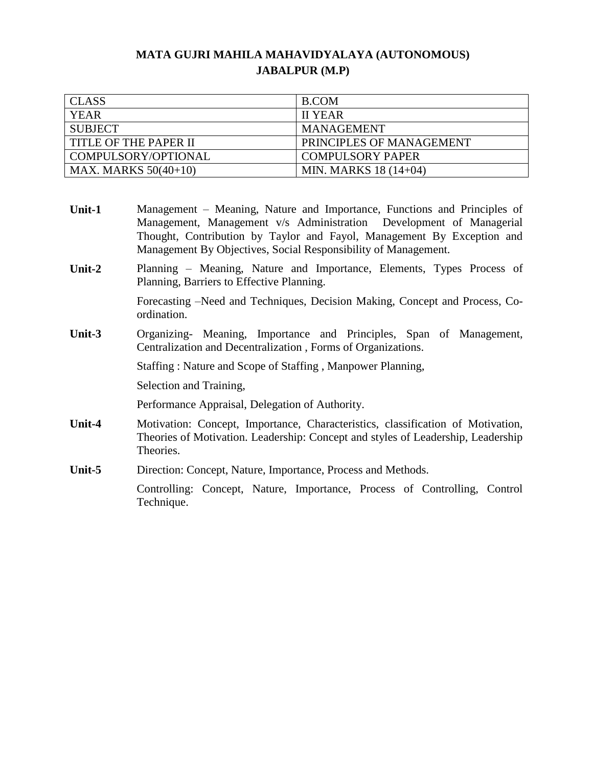| <b>CLASS</b>           | B.COM                    |
|------------------------|--------------------------|
| YEAR                   | <b>II YEAR</b>           |
| <b>SUBJECT</b>         | MANAGEMENT               |
| TITLE OF THE PAPER II  | PRINCIPLES OF MANAGEMENT |
| COMPULSORY/OPTIONAL    | <b>COMPULSORY PAPER</b>  |
| MAX. MARKS $50(40+10)$ | MIN. MARKS 18 (14+04)    |

- **Unit-1** Management Meaning, Nature and Importance, Functions and Principles of Management, Management v/s Administration Development of Managerial Thought, Contribution by Taylor and Fayol, Management By Exception and Management By Objectives, Social Responsibility of Management.
- **Unit-2** Planning Meaning, Nature and Importance, Elements, Types Process of Planning, Barriers to Effective Planning.

Forecasting –Need and Techniques, Decision Making, Concept and Process, Coordination.

**Unit-3** Organizing- Meaning, Importance and Principles, Span of Management, Centralization and Decentralization , Forms of Organizations.

Staffing : Nature and Scope of Staffing , Manpower Planning,

Selection and Training,

Performance Appraisal, Delegation of Authority.

- **Unit-4** Motivation: Concept, Importance, Characteristics, classification of Motivation, Theories of Motivation. Leadership: Concept and styles of Leadership, Leadership Theories.
- **Unit-5** Direction: Concept, Nature, Importance, Process and Methods.

Controlling: Concept, Nature, Importance, Process of Controlling, Control Technique.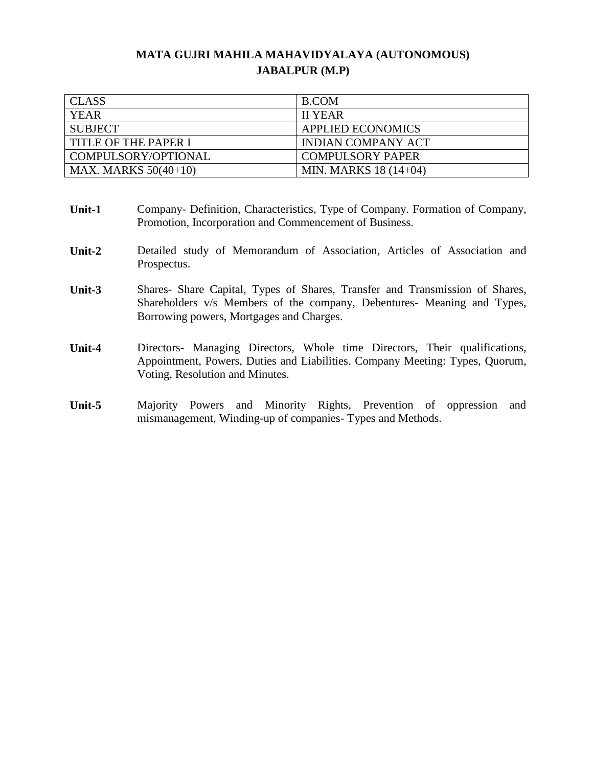| <b>CLASS</b>           | <b>B.COM</b>              |
|------------------------|---------------------------|
| <b>YEAR</b>            | <b>II YEAR</b>            |
| <b>SUBJECT</b>         | <b>APPLIED ECONOMICS</b>  |
| TITLE OF THE PAPER I   | <b>INDIAN COMPANY ACT</b> |
| COMPULSORY/OPTIONAL    | <b>COMPULSORY PAPER</b>   |
| MAX. MARKS $50(40+10)$ | MIN. MARKS 18 (14+04)     |

- **Unit-1** Company- Definition, Characteristics, Type of Company. Formation of Company, Promotion, Incorporation and Commencement of Business.
- **Unit-2** Detailed study of Memorandum of Association, Articles of Association and Prospectus.
- **Unit-3** Shares- Share Capital, Types of Shares, Transfer and Transmission of Shares, Shareholders v/s Members of the company, Debentures- Meaning and Types, Borrowing powers, Mortgages and Charges.
- **Unit-4** Directors- Managing Directors, Whole time Directors, Their qualifications, Appointment, Powers, Duties and Liabilities. Company Meeting: Types, Quorum, Voting, Resolution and Minutes.
- **Unit-5** Majority Powers and Minority Rights, Prevention of oppression and mismanagement, Winding-up of companies- Types and Methods.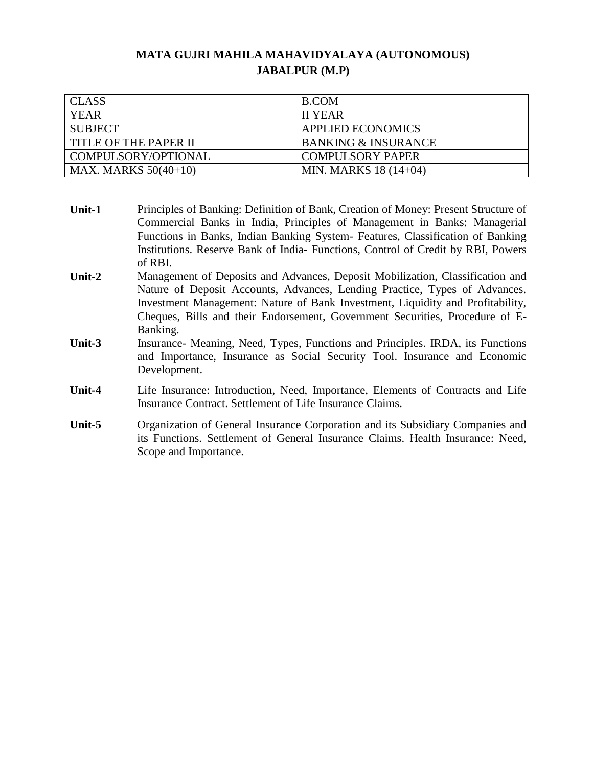| <b>CLASS</b>           | B.COM                          |
|------------------------|--------------------------------|
| <b>YEAR</b>            | <b>II YEAR</b>                 |
| <b>SUBJECT</b>         | <b>APPLIED ECONOMICS</b>       |
| TITLE OF THE PAPER II  | <b>BANKING &amp; INSURANCE</b> |
| COMPULSORY/OPTIONAL    | <b>COMPULSORY PAPER</b>        |
| MAX. MARKS $50(40+10)$ | MIN. MARKS 18 (14+04)          |

- **Unit-1** Principles of Banking: Definition of Bank, Creation of Money: Present Structure of Commercial Banks in India, Principles of Management in Banks: Managerial Functions in Banks, Indian Banking System- Features, Classification of Banking Institutions. Reserve Bank of India- Functions, Control of Credit by RBI, Powers of RBI.
- **Unit-2** Management of Deposits and Advances, Deposit Mobilization, Classification and Nature of Deposit Accounts, Advances, Lending Practice, Types of Advances. Investment Management: Nature of Bank Investment, Liquidity and Profitability, Cheques, Bills and their Endorsement, Government Securities, Procedure of E-Banking.
- **Unit-3** Insurance- Meaning, Need, Types, Functions and Principles. IRDA, its Functions and Importance, Insurance as Social Security Tool. Insurance and Economic Development.
- **Unit-4** Life Insurance: Introduction, Need, Importance, Elements of Contracts and Life Insurance Contract. Settlement of Life Insurance Claims.
- **Unit-5** Organization of General Insurance Corporation and its Subsidiary Companies and its Functions. Settlement of General Insurance Claims. Health Insurance: Need, Scope and Importance.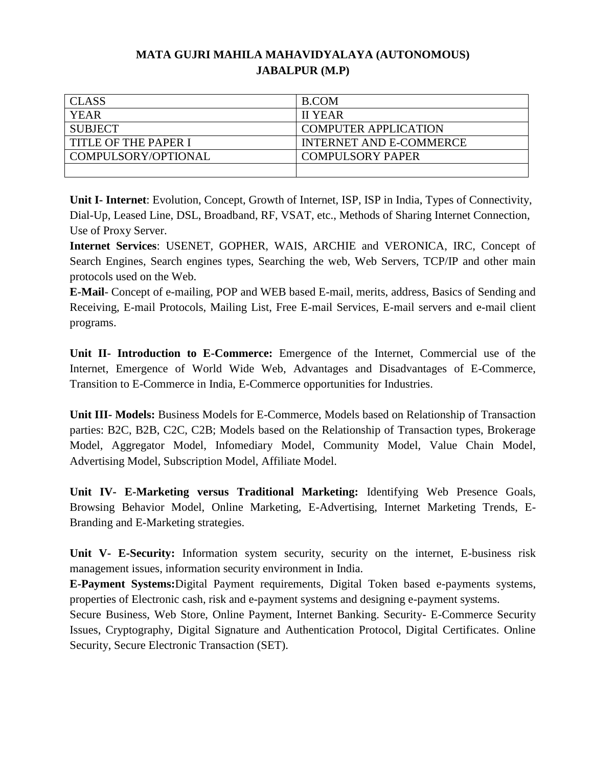| <b>CLASS</b>         | B.COM                          |
|----------------------|--------------------------------|
| <b>YEAR</b>          | <b>II YEAR</b>                 |
| <b>SUBJECT</b>       | <b>COMPUTER APPLICATION</b>    |
| TITLE OF THE PAPER I | <b>INTERNET AND E-COMMERCE</b> |
| COMPULSORY/OPTIONAL  | <b>COMPULSORY PAPER</b>        |
|                      |                                |

**Unit I- Internet**: Evolution, Concept, Growth of Internet, ISP, ISP in India, Types of Connectivity, Dial-Up, Leased Line, DSL, Broadband, RF, VSAT, etc., Methods of Sharing Internet Connection, Use of Proxy Server.

**Internet Services**: USENET, GOPHER, WAIS, ARCHIE and VERONICA, IRC, Concept of Search Engines, Search engines types, Searching the web, Web Servers, TCP/IP and other main protocols used on the Web.

**E-Mail**- Concept of e-mailing, POP and WEB based E-mail, merits, address, Basics of Sending and Receiving, E-mail Protocols, Mailing List, Free E-mail Services, E-mail servers and e-mail client programs.

**Unit II- Introduction to E-Commerce:** Emergence of the Internet, Commercial use of the Internet, Emergence of World Wide Web, Advantages and Disadvantages of E-Commerce, Transition to E-Commerce in India, E-Commerce opportunities for Industries.

**Unit III- Models:** Business Models for E-Commerce, Models based on Relationship of Transaction parties: B2C, B2B, C2C, C2B; Models based on the Relationship of Transaction types, Brokerage Model, Aggregator Model, Infomediary Model, Community Model, Value Chain Model, Advertising Model, Subscription Model, Affiliate Model.

**Unit IV- E-Marketing versus Traditional Marketing:** Identifying Web Presence Goals, Browsing Behavior Model, Online Marketing, E-Advertising, Internet Marketing Trends, E-Branding and E-Marketing strategies.

**Unit V- E-Security:** Information system security, security on the internet, E-business risk management issues, information security environment in India.

**E-Payment Systems:**Digital Payment requirements, Digital Token based e-payments systems, properties of Electronic cash, risk and e-payment systems and designing e-payment systems.

Secure Business, Web Store, Online Payment, Internet Banking. Security- E-Commerce Security Issues, Cryptography, Digital Signature and Authentication Protocol, Digital Certificates. Online Security, Secure Electronic Transaction (SET).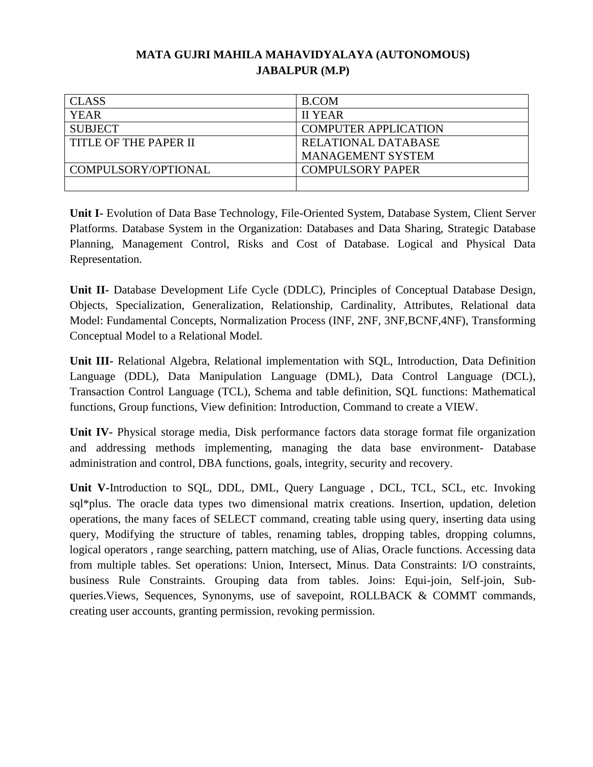| <b>CLASS</b>          | <b>B.COM</b>                |
|-----------------------|-----------------------------|
| <b>YEAR</b>           | <b>II YEAR</b>              |
| <b>SUBJECT</b>        | <b>COMPUTER APPLICATION</b> |
| TITLE OF THE PAPER II | RELATIONAL DATABASE         |
|                       | <b>MANAGEMENT SYSTEM</b>    |
| COMPULSORY/OPTIONAL   | <b>COMPULSORY PAPER</b>     |
|                       |                             |

**Unit I-** Evolution of Data Base Technology, File-Oriented System, Database System, Client Server Platforms. Database System in the Organization: Databases and Data Sharing, Strategic Database Planning, Management Control, Risks and Cost of Database. Logical and Physical Data Representation.

**Unit II-** Database Development Life Cycle (DDLC), Principles of Conceptual Database Design, Objects, Specialization, Generalization, Relationship, Cardinality, Attributes, Relational data Model: Fundamental Concepts, Normalization Process (INF, 2NF, 3NF,BCNF,4NF), Transforming Conceptual Model to a Relational Model.

**Unit III-** Relational Algebra, Relational implementation with SQL, Introduction, Data Definition Language (DDL), Data Manipulation Language (DML), Data Control Language (DCL), Transaction Control Language (TCL), Schema and table definition, SQL functions: Mathematical functions, Group functions, View definition: Introduction, Command to create a VIEW.

**Unit IV-** Physical storage media, Disk performance factors data storage format file organization and addressing methods implementing, managing the data base environment- Database administration and control, DBA functions, goals, integrity, security and recovery.

**Unit V-**Introduction to SQL, DDL, DML, Query Language , DCL, TCL, SCL, etc. Invoking sql\*plus. The oracle data types two dimensional matrix creations. Insertion, updation, deletion operations, the many faces of SELECT command, creating table using query, inserting data using query, Modifying the structure of tables, renaming tables, dropping tables, dropping columns, logical operators , range searching, pattern matching, use of Alias, Oracle functions. Accessing data from multiple tables. Set operations: Union, Intersect, Minus. Data Constraints: I/O constraints, business Rule Constraints. Grouping data from tables. Joins: Equi-join, Self-join, Subqueries.Views, Sequences, Synonyms, use of savepoint, ROLLBACK & COMMT commands, creating user accounts, granting permission, revoking permission.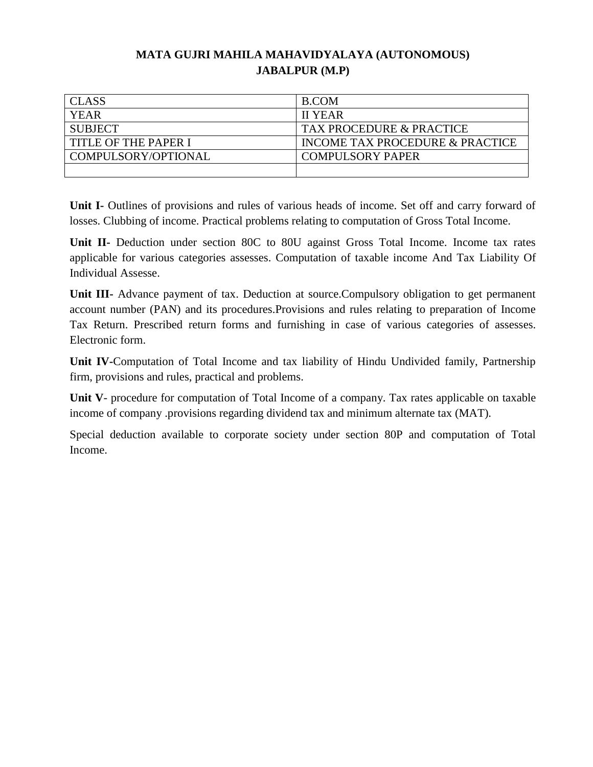| <b>CLASS</b>         | B.COM                           |
|----------------------|---------------------------------|
| <b>YEAR</b>          | <b>II YEAR</b>                  |
| <b>SUBJECT</b>       | TAX PROCEDURE & PRACTICE        |
| TITLE OF THE PAPER I | INCOME TAX PROCEDURE & PRACTICE |
| COMPULSORY/OPTIONAL  | <b>COMPULSORY PAPER</b>         |
|                      |                                 |

**Unit I-** Outlines of provisions and rules of various heads of income. Set off and carry forward of losses. Clubbing of income. Practical problems relating to computation of Gross Total Income.

**Unit II-** Deduction under section 80C to 80U against Gross Total Income. Income tax rates applicable for various categories assesses. Computation of taxable income And Tax Liability Of Individual Assesse.

**Unit III-** Advance payment of tax. Deduction at source.Compulsory obligation to get permanent account number (PAN) and its procedures.Provisions and rules relating to preparation of Income Tax Return. Prescribed return forms and furnishing in case of various categories of assesses. Electronic form.

**Unit IV-**Computation of Total Income and tax liability of Hindu Undivided family, Partnership firm, provisions and rules, practical and problems.

**Unit V**- procedure for computation of Total Income of a company. Tax rates applicable on taxable income of company .provisions regarding dividend tax and minimum alternate tax (MAT).

Special deduction available to corporate society under section 80P and computation of Total Income.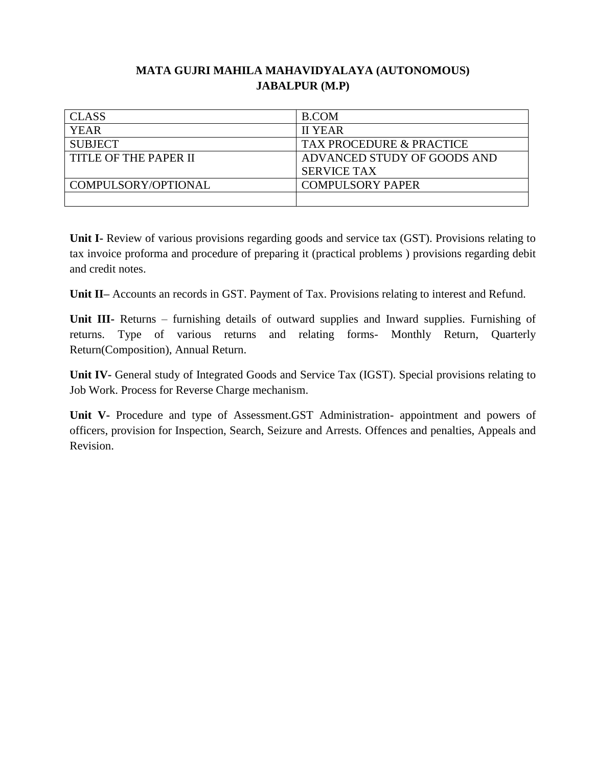| <b>CLASS</b>          | B.COM                       |
|-----------------------|-----------------------------|
| <b>YEAR</b>           | <b>II YEAR</b>              |
| <b>SUBJECT</b>        | TAX PROCEDURE & PRACTICE    |
| TITLE OF THE PAPER II | ADVANCED STUDY OF GOODS AND |
|                       | <b>SERVICE TAX</b>          |
| COMPULSORY/OPTIONAL   | <b>COMPULSORY PAPER</b>     |
|                       |                             |

**Unit I-** Review of various provisions regarding goods and service tax (GST). Provisions relating to tax invoice proforma and procedure of preparing it (practical problems ) provisions regarding debit and credit notes.

**Unit II–** Accounts an records in GST. Payment of Tax. Provisions relating to interest and Refund.

**Unit III-** Returns – furnishing details of outward supplies and Inward supplies. Furnishing of returns. Type of various returns and relating forms- Monthly Return, Quarterly Return(Composition), Annual Return.

**Unit IV-** General study of Integrated Goods and Service Tax (IGST). Special provisions relating to Job Work. Process for Reverse Charge mechanism.

**Unit V-** Procedure and type of Assessment.GST Administration- appointment and powers of officers, provision for Inspection, Search, Seizure and Arrests. Offences and penalties, Appeals and Revision.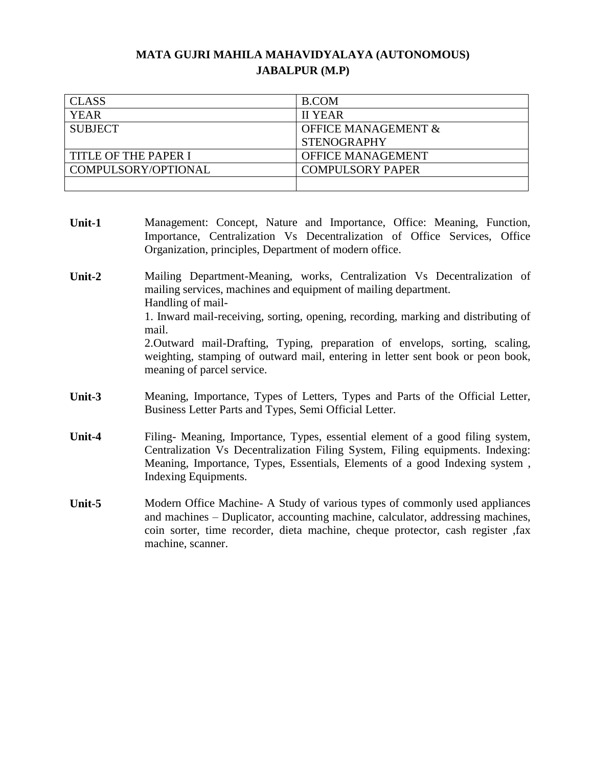| <b>CLASS</b>         | B.COM                          |
|----------------------|--------------------------------|
| <b>YEAR</b>          | <b>II YEAR</b>                 |
| <b>SUBJECT</b>       | <b>OFFICE MANAGEMENT &amp;</b> |
|                      | <b>STENOGRAPHY</b>             |
| TITLE OF THE PAPER I | <b>OFFICE MANAGEMENT</b>       |
| COMPULSORY/OPTIONAL  | <b>COMPULSORY PAPER</b>        |
|                      |                                |

- **Unit-1** Management: Concept, Nature and Importance, Office: Meaning, Function, Importance, Centralization Vs Decentralization of Office Services, Office Organization, principles, Department of modern office.
- **Unit-2** Mailing Department-Meaning, works, Centralization Vs Decentralization of mailing services, machines and equipment of mailing department. Handling of mail-1. Inward mail-receiving, sorting, opening, recording, marking and distributing of mail. 2.Outward mail-Drafting, Typing, preparation of envelops, sorting, scaling, weighting, stamping of outward mail, entering in letter sent book or peon book, meaning of parcel service. **Unit-3** Meaning, Importance, Types of Letters, Types and Parts of the Official Letter, Business Letter Parts and Types, Semi Official Letter.
- **Unit-4** Filing- Meaning, Importance, Types, essential element of a good filing system, Centralization Vs Decentralization Filing System, Filing equipments. Indexing: Meaning, Importance, Types, Essentials, Elements of a good Indexing system , Indexing Equipments.
- **Unit-5** Modern Office Machine- A Study of various types of commonly used appliances and machines – Duplicator, accounting machine, calculator, addressing machines, coin sorter, time recorder, dieta machine, cheque protector, cash register ,fax machine, scanner.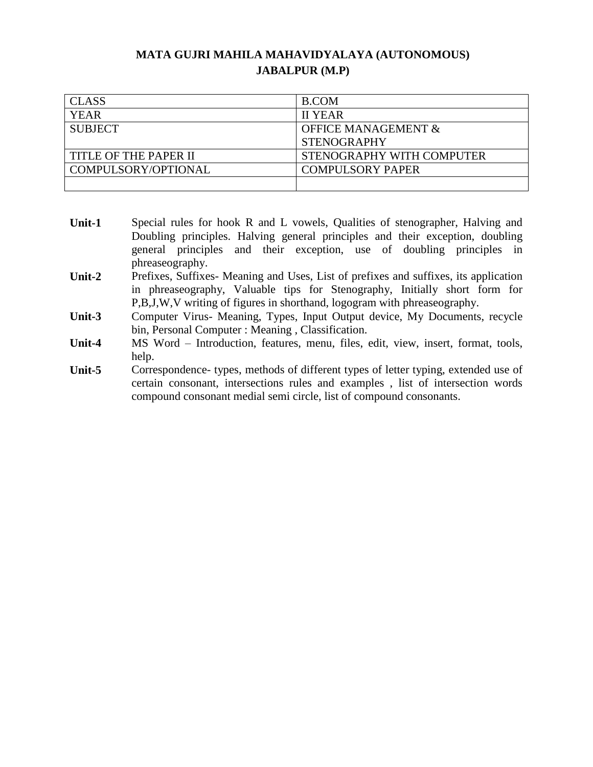| <b>CLASS</b>          | B.COM                     |
|-----------------------|---------------------------|
| <b>YEAR</b>           | <b>II YEAR</b>            |
| <b>SUBJECT</b>        | OFFICE MANAGEMENT &       |
|                       | <b>STENOGRAPHY</b>        |
| TITLE OF THE PAPER II | STENOGRAPHY WITH COMPUTER |
| COMPULSORY/OPTIONAL   | <b>COMPULSORY PAPER</b>   |
|                       |                           |

- Unit-1 Special rules for hook R and L vowels, Qualities of stenographer, Halving and Doubling principles. Halving general principles and their exception, doubling general principles and their exception, use of doubling principles in phreaseography.
- **Unit-2** Prefixes, Suffixes- Meaning and Uses, List of prefixes and suffixes, its application in phreaseography, Valuable tips for Stenography, Initially short form for P,B,J,W,V writing of figures in shorthand, logogram with phreaseography.
- **Unit-3** Computer Virus- Meaning, Types, Input Output device, My Documents, recycle bin, Personal Computer : Meaning , Classification.
- **Unit-4** MS Word Introduction, features, menu, files, edit, view, insert, format, tools, help.
- **Unit-5** Correspondence- types, methods of different types of letter typing, extended use of certain consonant, intersections rules and examples , list of intersection words compound consonant medial semi circle, list of compound consonants.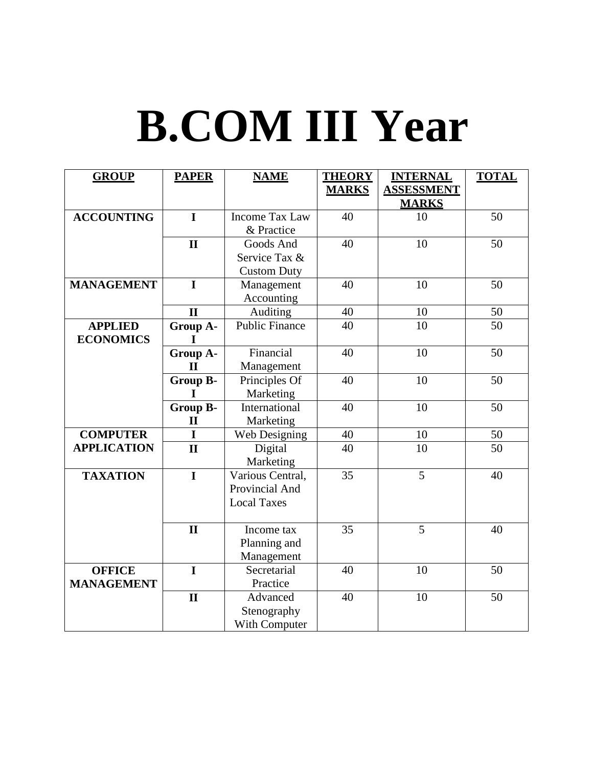# **B.COM III Year**

| <b>GROUP</b>       | <b>PAPER</b>    | <b>NAME</b>           | <b>THEORY</b> | <b>INTERNAL</b>                   | <b>TOTAL</b> |
|--------------------|-----------------|-----------------------|---------------|-----------------------------------|--------------|
|                    |                 |                       | <b>MARKS</b>  | <b>ASSESSMENT</b><br><b>MARKS</b> |              |
| <b>ACCOUNTING</b>  | $\mathbf I$     | <b>Income Tax Law</b> | 40            | 10                                | 50           |
|                    |                 | & Practice            |               |                                   |              |
|                    | $\mathbf{I}$    | Goods And             | 40            | 10                                | 50           |
|                    |                 | Service Tax &         |               |                                   |              |
|                    |                 | <b>Custom Duty</b>    |               |                                   |              |
| <b>MANAGEMENT</b>  | $\overline{I}$  | Management            | 40            | 10                                | 50           |
|                    |                 | Accounting            |               |                                   |              |
|                    | $\mathbf{I}$    | Auditing              | 40            | 10                                | 50           |
| <b>APPLIED</b>     | <b>Group A-</b> | <b>Public Finance</b> | 40            | 10                                | 50           |
| <b>ECONOMICS</b>   |                 |                       |               |                                   |              |
|                    | Group A-        | Financial             | 40            | 10                                | 50           |
|                    | $\mathbf{I}$    | Management            |               |                                   |              |
|                    | <b>Group B-</b> | Principles Of         | 40            | 10                                | 50           |
|                    | T               | Marketing             |               |                                   |              |
|                    | Group B-        | International         | 40            | 10                                | 50           |
|                    | $\mathbf{I}$    | Marketing             |               |                                   |              |
| <b>COMPUTER</b>    | $\mathbf I$     | Web Designing         | 40            | 10                                | 50           |
| <b>APPLICATION</b> | $\mathbf{I}$    | Digital<br>Marketing  | 40            | 10                                | 50           |
| <b>TAXATION</b>    | $\mathbf I$     | Various Central,      | 35            | 5                                 | 40           |
|                    |                 | Provincial And        |               |                                   |              |
|                    |                 | <b>Local Taxes</b>    |               |                                   |              |
|                    |                 |                       |               |                                   |              |
|                    | $\mathbf{I}$    | Income tax            | 35            | 5                                 | 40           |
|                    |                 | Planning and          |               |                                   |              |
|                    |                 | Management            |               |                                   |              |
| <b>OFFICE</b>      | $\mathbf I$     | Secretarial           | 40            | 10                                | 50           |
| <b>MANAGEMENT</b>  |                 | Practice              |               |                                   |              |
|                    | $\mathbf{I}$    | Advanced              | 40            | 10                                | 50           |
|                    |                 | Stenography           |               |                                   |              |
|                    |                 | With Computer         |               |                                   |              |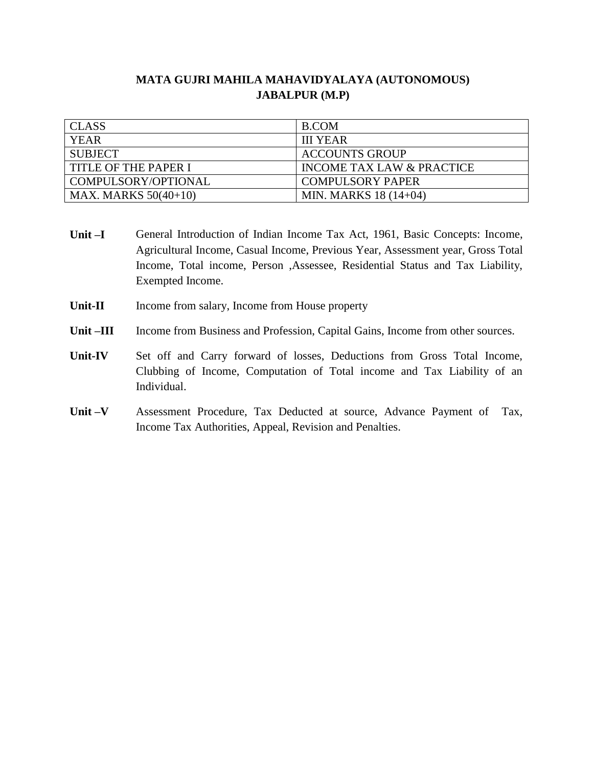| <b>CLASS</b>           | <b>B.COM</b>              |
|------------------------|---------------------------|
| <b>YEAR</b>            | <b>III YEAR</b>           |
| <b>SUBJECT</b>         | <b>ACCOUNTS GROUP</b>     |
| TITLE OF THE PAPER I   | INCOME TAX LAW & PRACTICE |
| COMPULSORY/OPTIONAL    | <b>COMPULSORY PAPER</b>   |
| MAX. MARKS $50(40+10)$ | MIN. MARKS 18 (14+04)     |

- Unit –I General Introduction of Indian Income Tax Act, 1961, Basic Concepts: Income, Agricultural Income, Casual Income, Previous Year, Assessment year, Gross Total Income, Total income, Person ,Assessee, Residential Status and Tax Liability, Exempted Income.
- Unit-II Income from salary, Income from House property
- Unit –III Income from Business and Profession, Capital Gains, Income from other sources.
- **Unit-IV** Set off and Carry forward of losses, Deductions from Gross Total Income, Clubbing of Income, Computation of Total income and Tax Liability of an Individual.
- **Unit –V** Assessment Procedure, Tax Deducted at source, Advance Payment of Tax, Income Tax Authorities, Appeal, Revision and Penalties.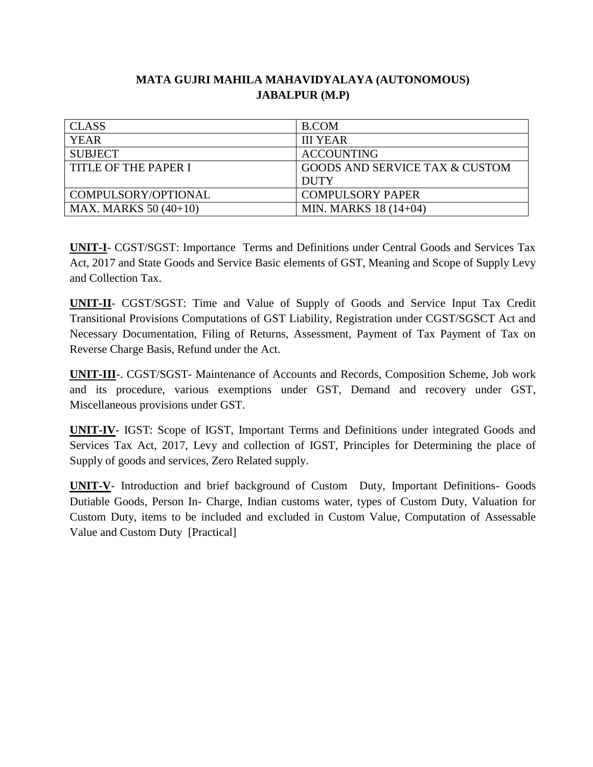| <b>CLASS</b>           | <b>B.COM</b>                              |
|------------------------|-------------------------------------------|
| YEAR                   | <b>III YEAR</b>                           |
| <b>SUBJECT</b>         | <b>ACCOUNTING</b>                         |
| TITLE OF THE PAPER I   | <b>GOODS AND SERVICE TAX &amp; CUSTOM</b> |
|                        | <b>DUTY</b>                               |
| COMPULSORY/OPTIONAL    | <b>COMPULSORY PAPER</b>                   |
| MAX. MARKS $50(40+10)$ | MIN. MARKS 18 (14+04)                     |

**UNIT-I**- CGST/SGST: Importance Terms and Definitions under Central Goods and Services Tax Act, 2017 and State Goods and Service Basic elements of GST, Meaning and Scope of Supply Levy and Collection Tax.

**UNIT-II**- CGST/SGST: Time and Value of Supply of Goods and Service Input Tax Credit Transitional Provisions Computations of GST Liability, Registration under CGST/SGSCT Act and Necessary Documentation, Filing of Returns, Assessment, Payment of Tax Payment of Tax on Reverse Charge Basis, Refund under the Act.

**UNIT-III**-. CGST/SGST- Maintenance of Accounts and Records, Composition Scheme, Job work and its procedure, various exemptions under GST, Demand and recovery under GST, Miscellaneous provisions under GST.

**UNIT-IV**- IGST: Scope of IGST, Important Terms and Definitions under integrated Goods and Services Tax Act, 2017, Levy and collection of IGST, Principles for Determining the place of Supply of goods and services, Zero Related supply.

**UNIT-V**- Introduction and brief background of Custom Duty, Important Definitions- Goods Dutiable Goods, Person In- Charge, Indian customs water, types of Custom Duty, Valuation for Custom Duty, items to be included and excluded in Custom Value, Computation of Assessable Value and Custom Duty [Practical]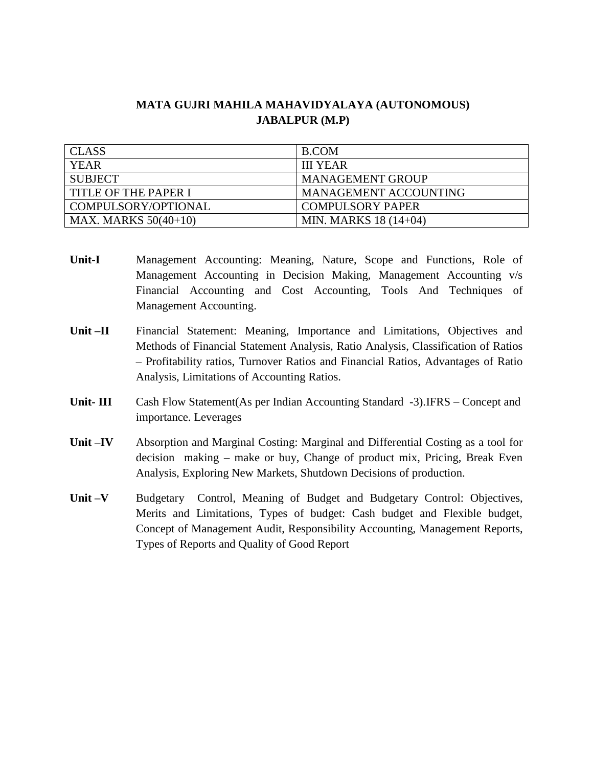| <b>CLASS</b>           | B.COM                   |
|------------------------|-------------------------|
| <b>YEAR</b>            | <b>III YEAR</b>         |
| <b>SUBJECT</b>         | <b>MANAGEMENT GROUP</b> |
| TITLE OF THE PAPER I   | MANAGEMENT ACCOUNTING   |
| COMPULSORY/OPTIONAL    | <b>COMPULSORY PAPER</b> |
| MAX. MARKS $50(40+10)$ | MIN. MARKS 18 (14+04)   |

- **Unit-I** Management Accounting: Meaning, Nature, Scope and Functions, Role of Management Accounting in Decision Making, Management Accounting v/s Financial Accounting and Cost Accounting, Tools And Techniques of Management Accounting.
- **Unit –II** Financial Statement: Meaning, Importance and Limitations, Objectives and Methods of Financial Statement Analysis, Ratio Analysis, Classification of Ratios – Profitability ratios, Turnover Ratios and Financial Ratios, Advantages of Ratio Analysis, Limitations of Accounting Ratios.
- **Unit- III** Cash Flow Statement(As per Indian Accounting Standard -3).IFRS Concept and importance. Leverages
- **Unit –IV** Absorption and Marginal Costing: Marginal and Differential Costing as a tool for decision making – make or buy, Change of product mix, Pricing, Break Even Analysis, Exploring New Markets, Shutdown Decisions of production.
- Unit –V Budgetary Control, Meaning of Budget and Budgetary Control: Objectives, Merits and Limitations, Types of budget: Cash budget and Flexible budget, Concept of Management Audit, Responsibility Accounting, Management Reports, Types of Reports and Quality of Good Report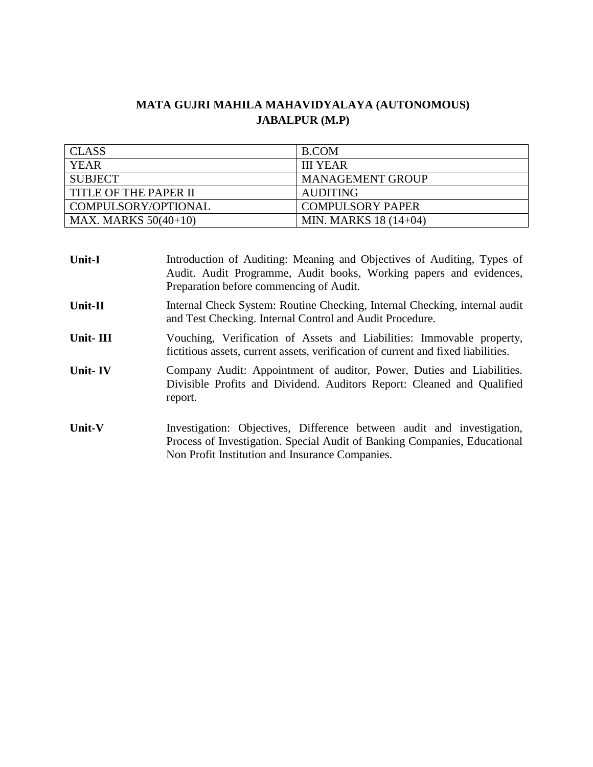| <b>CLASS</b>            | B.COM                   |
|-------------------------|-------------------------|
| <b>YEAR</b>             | <b>III YEAR</b>         |
| SUBJECT                 | <b>MANAGEMENT GROUP</b> |
| I TITLE OF THE PAPER II | <b>AUDITING</b>         |
| COMPULSORY/OPTIONAL     | <b>COMPULSORY PAPER</b> |
| MAX. MARKS $50(40+10)$  | MIN. MARKS 18 (14+04)   |

| <b>Unit-I</b> | Introduction of Auditing: Meaning and Objectives of Auditing, Types of<br>Audit. Audit Programme, Audit books, Working papers and evidences,<br>Preparation before commencing of Audit.                |
|---------------|--------------------------------------------------------------------------------------------------------------------------------------------------------------------------------------------------------|
| Unit-II       | Internal Check System: Routine Checking, Internal Checking, internal audit<br>and Test Checking. Internal Control and Audit Procedure.                                                                 |
| Unit-III      | Vouching, Verification of Assets and Liabilities: Immovable property,<br>fictitious assets, current assets, verification of current and fixed liabilities.                                             |
| Unit-IV       | Company Audit: Appointment of auditor, Power, Duties and Liabilities.<br>Divisible Profits and Dividend. Auditors Report: Cleaned and Qualified<br>report.                                             |
| Unit-V        | Investigation: Objectives, Difference between audit and investigation,<br>Process of Investigation. Special Audit of Banking Companies, Educational<br>Non Profit Institution and Insurance Companies. |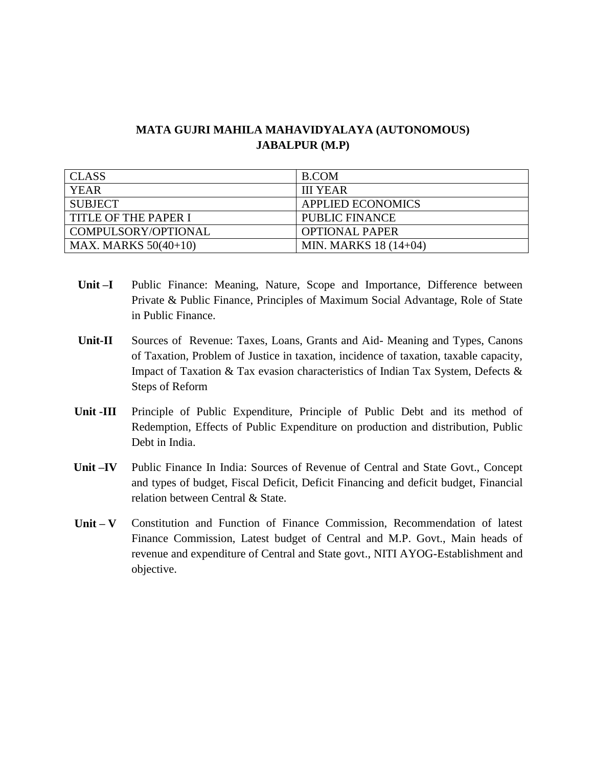| <b>CLASS</b>           | B.COM                    |
|------------------------|--------------------------|
| <b>YEAR</b>            | <b>III YEAR</b>          |
| <b>SUBJECT</b>         | <b>APPLIED ECONOMICS</b> |
| TITLE OF THE PAPER I   | <b>PUBLIC FINANCE</b>    |
| COMPULSORY/OPTIONAL    | <b>OPTIONAL PAPER</b>    |
| MAX. MARKS $50(40+10)$ | MIN. MARKS 18 (14+04)    |

- **Unit –I** Public Finance: Meaning, Nature, Scope and Importance, Difference between Private & Public Finance, Principles of Maximum Social Advantage, Role of State in Public Finance.
- **Unit-II** Sources of Revenue: Taxes, Loans, Grants and Aid- Meaning and Types, Canons of Taxation, Problem of Justice in taxation, incidence of taxation, taxable capacity, Impact of Taxation & Tax evasion characteristics of Indian Tax System, Defects & Steps of Reform
- **Unit -III** Principle of Public Expenditure, Principle of Public Debt and its method of Redemption, Effects of Public Expenditure on production and distribution, Public Debt in India.
- **Unit –IV** Public Finance In India: Sources of Revenue of Central and State Govt., Concept and types of budget, Fiscal Deficit, Deficit Financing and deficit budget, Financial relation between Central & State.
- **Unit – V** Constitution and Function of Finance Commission, Recommendation of latest Finance Commission, Latest budget of Central and M.P. Govt., Main heads of revenue and expenditure of Central and State govt., NITI AYOG-Establishment and objective.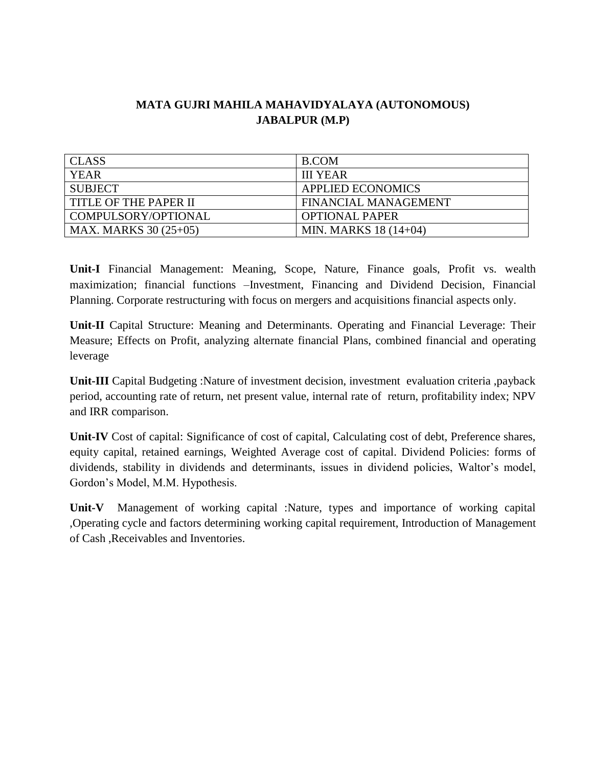| <b>CLASS</b>          | B.COM                    |
|-----------------------|--------------------------|
| <b>YEAR</b>           | <b>III YEAR</b>          |
| <b>SUBJECT</b>        | <b>APPLIED ECONOMICS</b> |
| TITLE OF THE PAPER II | FINANCIAL MANAGEMENT     |
| COMPULSORY/OPTIONAL   | <b>OPTIONAL PAPER</b>    |
| MAX. MARKS 30 (25+05) | MIN. MARKS 18 (14+04)    |

**Unit-I** Financial Management: Meaning, Scope, Nature, Finance goals, Profit vs. wealth maximization; financial functions –Investment, Financing and Dividend Decision, Financial Planning. Corporate restructuring with focus on mergers and acquisitions financial aspects only.

**Unit-II** Capital Structure: Meaning and Determinants. Operating and Financial Leverage: Their Measure; Effects on Profit, analyzing alternate financial Plans, combined financial and operating leverage

**Unit-III** Capital Budgeting :Nature of investment decision, investment evaluation criteria ,payback period, accounting rate of return, net present value, internal rate of return, profitability index; NPV and IRR comparison.

**Unit-IV** Cost of capital: Significance of cost of capital, Calculating cost of debt, Preference shares, equity capital, retained earnings, Weighted Average cost of capital. Dividend Policies: forms of dividends, stability in dividends and determinants, issues in dividend policies, Waltor's model, Gordon's Model, M.M. Hypothesis.

**Unit-V** Management of working capital :Nature, types and importance of working capital ,Operating cycle and factors determining working capital requirement, Introduction of Management of Cash ,Receivables and Inventories.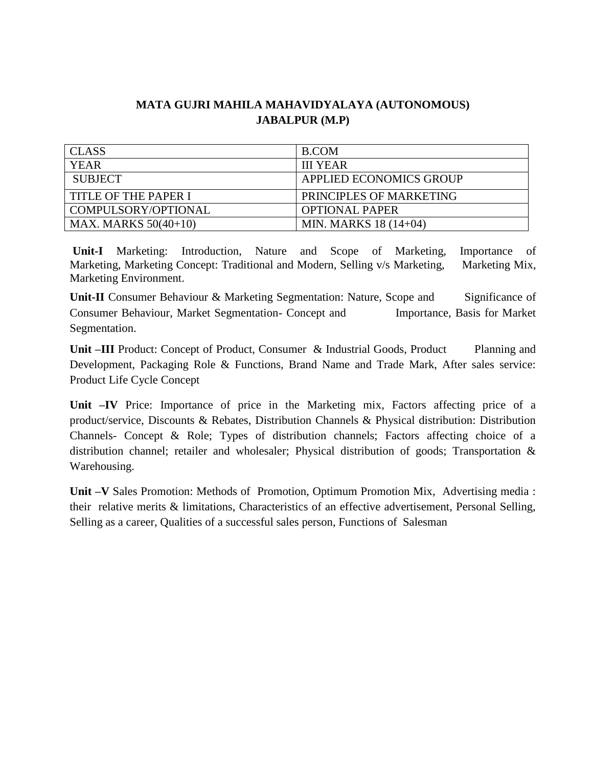| <b>CLASS</b>           | <b>B.COM</b>            |
|------------------------|-------------------------|
| <b>YEAR</b>            | <b>III YEAR</b>         |
| SUBJECT                | APPLIED ECONOMICS GROUP |
| TITLE OF THE PAPER I   | PRINCIPLES OF MARKETING |
| COMPULSORY/OPTIONAL    | <b>OPTIONAL PAPER</b>   |
| MAX. MARKS $50(40+10)$ | MIN. MARKS 18 (14+04)   |

**Unit-I** Marketing: Introduction, Nature and Scope of Marketing, Importance of Marketing, Marketing Concept: Traditional and Modern, Selling v/s Marketing, Marketing Mix, Marketing Environment.

**Unit-II** Consumer Behaviour & Marketing Segmentation: Nature, Scope and Significance of Consumer Behaviour, Market Segmentation- Concept and Importance, Basis for Market Segmentation.

Unit –III Product: Concept of Product, Consumer & Industrial Goods, Product Planning and Development, Packaging Role & Functions, Brand Name and Trade Mark, After sales service: Product Life Cycle Concept

**Unit –IV** Price: Importance of price in the Marketing mix, Factors affecting price of a product/service, Discounts & Rebates, Distribution Channels & Physical distribution: Distribution Channels- Concept & Role; Types of distribution channels; Factors affecting choice of a distribution channel; retailer and wholesaler; Physical distribution of goods; Transportation & Warehousing.

**Unit –V** Sales Promotion: Methods of Promotion, Optimum Promotion Mix, Advertising media : their relative merits & limitations, Characteristics of an effective advertisement, Personal Selling, Selling as a career, Qualities of a successful sales person, Functions of Salesman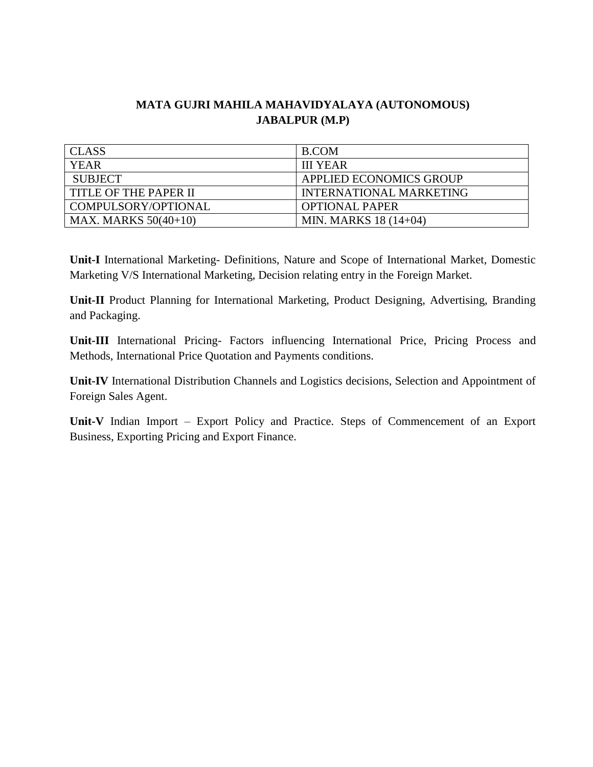| <b>CLASS</b>            | B.COM                   |
|-------------------------|-------------------------|
| <b>YEAR</b>             | <b>III YEAR</b>         |
| SUBJECT                 | APPLIED ECONOMICS GROUP |
| I TITLE OF THE PAPER II | INTERNATIONAL MARKETING |
| COMPULSORY/OPTIONAL     | <b>OPTIONAL PAPER</b>   |
| MAX. MARKS $50(40+10)$  | MIN. MARKS 18 (14+04)   |

**Unit-I** International Marketing- Definitions, Nature and Scope of International Market, Domestic Marketing V/S International Marketing, Decision relating entry in the Foreign Market.

**Unit-II** Product Planning for International Marketing, Product Designing, Advertising, Branding and Packaging.

**Unit-III** International Pricing- Factors influencing International Price, Pricing Process and Methods, International Price Quotation and Payments conditions.

**Unit-IV** International Distribution Channels and Logistics decisions, Selection and Appointment of Foreign Sales Agent.

**Unit-V** Indian Import – Export Policy and Practice. Steps of Commencement of an Export Business, Exporting Pricing and Export Finance.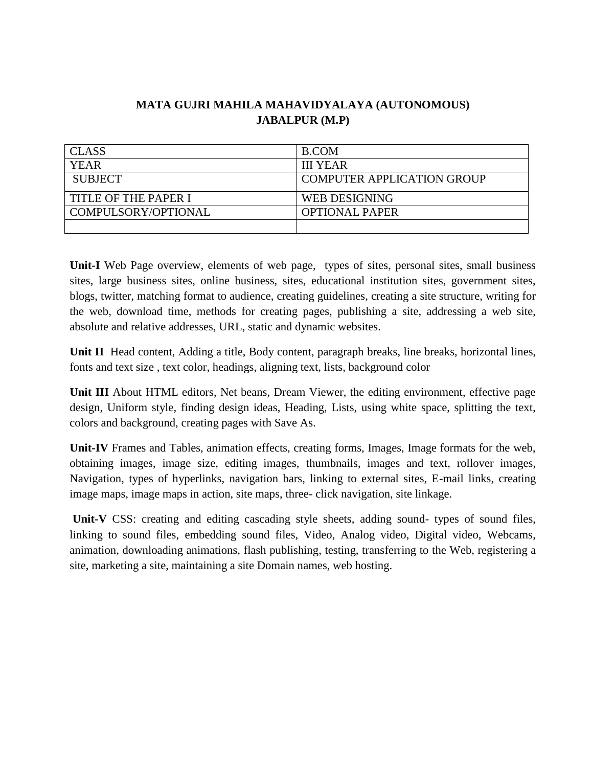| <b>CLASS</b>                | <b>B.COM</b>                      |
|-----------------------------|-----------------------------------|
| <b>YEAR</b>                 | <b>III YEAR</b>                   |
| <b>SUBJECT</b>              | <b>COMPUTER APPLICATION GROUP</b> |
| <b>TITLE OF THE PAPER I</b> | <b>WEB DESIGNING</b>              |
|                             |                                   |
| COMPULSORY/OPTIONAL         | <b>OPTIONAL PAPER</b>             |
|                             |                                   |

**Unit-I** Web Page overview, elements of web page, types of sites, personal sites, small business sites, large business sites, online business, sites, educational institution sites, government sites, blogs, twitter, matching format to audience, creating guidelines, creating a site structure, writing for the web, download time, methods for creating pages, publishing a site, addressing a web site, absolute and relative addresses, URL, static and dynamic websites.

**Unit II** Head content, Adding a title, Body content, paragraph breaks, line breaks, horizontal lines, fonts and text size , text color, headings, aligning text, lists, background color

**Unit III** About HTML editors, Net beans, Dream Viewer, the editing environment, effective page design, Uniform style, finding design ideas, Heading, Lists, using white space, splitting the text, colors and background, creating pages with Save As.

**Unit-IV** Frames and Tables, animation effects, creating forms, Images, Image formats for the web, obtaining images, image size, editing images, thumbnails, images and text, rollover images, Navigation, types of hyperlinks, navigation bars, linking to external sites, E-mail links, creating image maps, image maps in action, site maps, three- click navigation, site linkage.

**Unit-V** CSS: creating and editing cascading style sheets, adding sound- types of sound files, linking to sound files, embedding sound files, Video, Analog video, Digital video, Webcams, animation, downloading animations, flash publishing, testing, transferring to the Web, registering a site, marketing a site, maintaining a site Domain names, web hosting.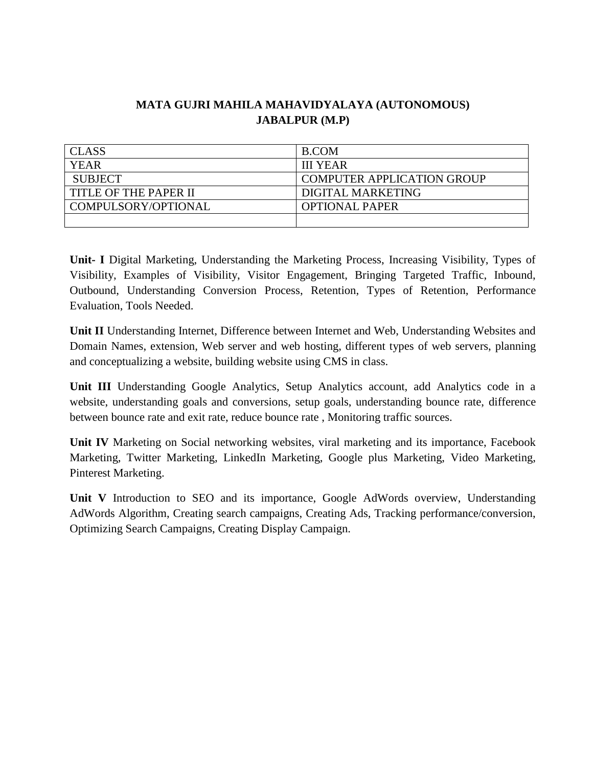| <b>CLASS</b>          | B.COM                             |
|-----------------------|-----------------------------------|
| <b>YEAR</b>           | <b>III YEAR</b>                   |
| <b>SUBJECT</b>        | <b>COMPUTER APPLICATION GROUP</b> |
| TITLE OF THE PAPER II | DIGITAL MARKETING                 |
| COMPULSORY/OPTIONAL   | <b>OPTIONAL PAPER</b>             |
|                       |                                   |

**Unit- I** Digital Marketing, Understanding the Marketing Process, Increasing Visibility, Types of Visibility, Examples of Visibility, Visitor Engagement, Bringing Targeted Traffic, Inbound, Outbound, Understanding Conversion Process, Retention, Types of Retention, Performance Evaluation, Tools Needed.

**Unit II** Understanding Internet, Difference between Internet and Web, Understanding Websites and Domain Names, extension, Web server and web hosting, different types of web servers, planning and conceptualizing a website, building website using CMS in class.

**Unit III** Understanding Google Analytics, Setup Analytics account, add Analytics code in a website, understanding goals and conversions, setup goals, understanding bounce rate, difference between bounce rate and exit rate, reduce bounce rate , Monitoring traffic sources.

**Unit IV** Marketing on Social networking websites, viral marketing and its importance, Facebook Marketing, Twitter Marketing, LinkedIn Marketing, Google plus Marketing, Video Marketing, Pinterest Marketing.

**Unit V** Introduction to SEO and its importance, Google AdWords overview, Understanding AdWords Algorithm, Creating search campaigns, Creating Ads, Tracking performance/conversion, Optimizing Search Campaigns, Creating Display Campaign.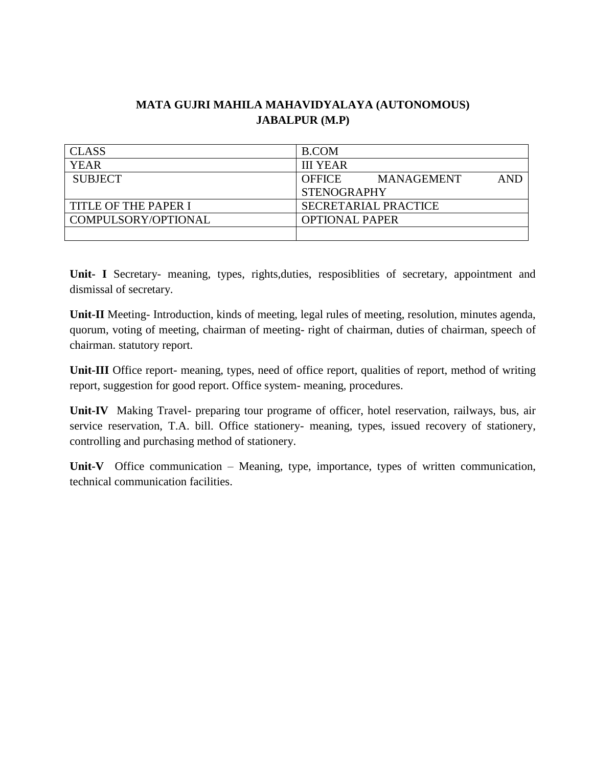| <b>CLASS</b>         | B.COM                              |
|----------------------|------------------------------------|
| <b>YEAR</b>          | <b>III YEAR</b>                    |
| <b>SUBJECT</b>       | OFFICE<br><b>AND</b><br>MANAGEMENT |
|                      | <b>STENOGRAPHY</b>                 |
| TITLE OF THE PAPER I | SECRETARIAL PRACTICE               |
| COMPULSORY/OPTIONAL  | <b>OPTIONAL PAPER</b>              |
|                      |                                    |

**Unit- I** Secretary- meaning, types, rights,duties, resposiblities of secretary, appointment and dismissal of secretary.

**Unit-II** Meeting- Introduction, kinds of meeting, legal rules of meeting, resolution, minutes agenda, quorum, voting of meeting, chairman of meeting- right of chairman, duties of chairman, speech of chairman. statutory report.

**Unit-III** Office report- meaning, types, need of office report, qualities of report, method of writing report, suggestion for good report. Office system- meaning, procedures.

**Unit-IV** Making Travel- preparing tour programe of officer, hotel reservation, railways, bus, air service reservation, T.A. bill. Office stationery- meaning, types, issued recovery of stationery, controlling and purchasing method of stationery.

**Unit-V** Office communication – Meaning, type, importance, types of written communication, technical communication facilities.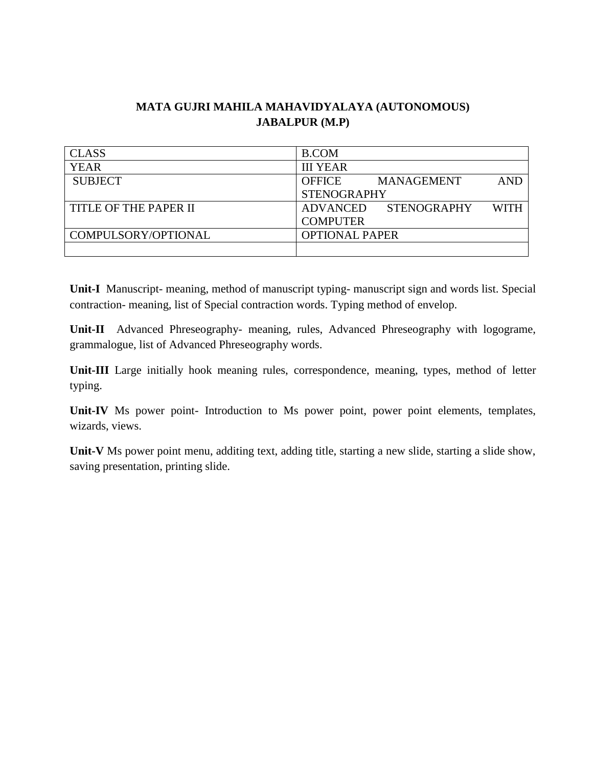| <b>CLASS</b>          | <b>B.COM</b>                                         |
|-----------------------|------------------------------------------------------|
| <b>YEAR</b>           | <b>III YEAR</b>                                      |
| <b>SUBJECT</b>        | <b>AND</b><br>OFFICE<br><b>MANAGEMENT</b>            |
|                       | <b>STENOGRAPHY</b>                                   |
| TITLE OF THE PAPER II | <b>WITH</b><br><b>ADVANCED</b><br><b>STENOGRAPHY</b> |
|                       | <b>COMPUTER</b>                                      |
| COMPULSORY/OPTIONAL   | <b>OPTIONAL PAPER</b>                                |
|                       |                                                      |

**Unit-I** Manuscript- meaning, method of manuscript typing- manuscript sign and words list. Special contraction- meaning, list of Special contraction words. Typing method of envelop.

**Unit-II** Advanced Phreseography- meaning, rules, Advanced Phreseography with logograme, grammalogue, list of Advanced Phreseography words.

**Unit-III** Large initially hook meaning rules, correspondence, meaning, types, method of letter typing.

**Unit-IV** Ms power point- Introduction to Ms power point, power point elements, templates, wizards, views.

**Unit-V** Ms power point menu, additing text, adding title, starting a new slide, starting a slide show, saving presentation, printing slide.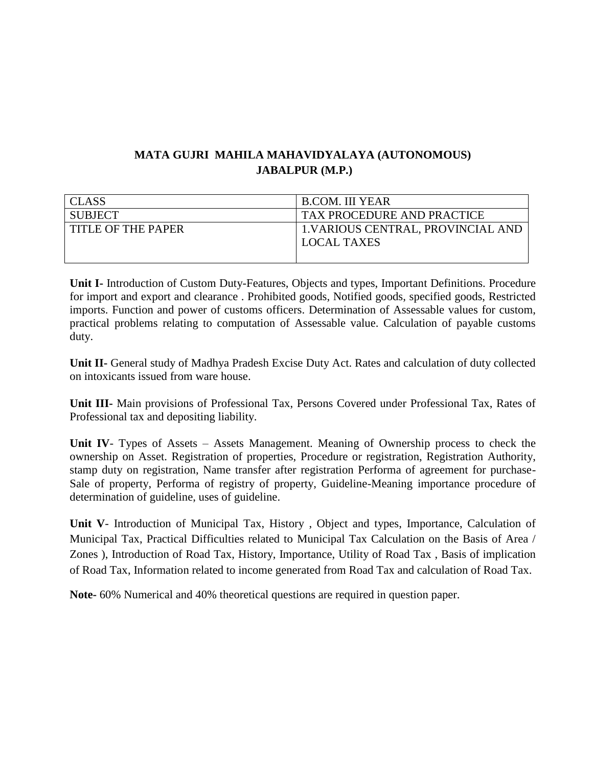| <b>CLASS</b>         | B.COM. III YEAR                                   |
|----------------------|---------------------------------------------------|
| SUBJECT              | TAX PROCEDURE AND PRACTICE                        |
| I TITLE OF THE PAPER | 1. VARIOUS CENTRAL, PROVINCIAL AND<br>LOCAL TAXES |
|                      |                                                   |

**Unit I-** Introduction of Custom Duty-Features, Objects and types, Important Definitions. Procedure for import and export and clearance . Prohibited goods, Notified goods, specified goods, Restricted imports. Function and power of customs officers. Determination of Assessable values for custom, practical problems relating to computation of Assessable value. Calculation of payable customs duty.

**Unit II-** General study of Madhya Pradesh Excise Duty Act. Rates and calculation of duty collected on intoxicants issued from ware house.

**Unit III-** Main provisions of Professional Tax, Persons Covered under Professional Tax, Rates of Professional tax and depositing liability.

**Unit IV**- Types of Assets – Assets Management. Meaning of Ownership process to check the ownership on Asset. Registration of properties, Procedure or registration, Registration Authority, stamp duty on registration, Name transfer after registration Performa of agreement for purchase-Sale of property, Performa of registry of property, Guideline-Meaning importance procedure of determination of guideline, uses of guideline.

**Unit V**- Introduction of Municipal Tax, History , Object and types, Importance, Calculation of Municipal Tax, Practical Difficulties related to Municipal Tax Calculation on the Basis of Area / Zones ), Introduction of Road Tax, History, Importance, Utility of Road Tax , Basis of implication of Road Tax, Information related to income generated from Road Tax and calculation of Road Tax.

**Note-** 60% Numerical and 40% theoretical questions are required in question paper.